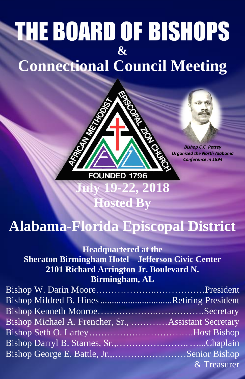# THE BOARD OF BISHOPS **& Connectional Council Meeting**



*Bishop C.C. Pettey Organized the North Alabama Conference in 1894*

# **Alabama-Florida Episcopal District**

**Hosted By**

# **Headquartered at the**

**Sheraton Birmingham Hotel – Jefferson Civic Center 2101 Richard Arrington Jr. Boulevard N. Birmingham, AL** 

| <b>Bishop Mildred B. Hines Retiring President</b>    |             |
|------------------------------------------------------|-------------|
|                                                      |             |
| Bishop Michael A. Frencher, Sr., Assistant Secretary |             |
|                                                      |             |
|                                                      |             |
| Bishop George E. Battle, Jr.,      Senior Bishop     |             |
|                                                      | & Treasurer |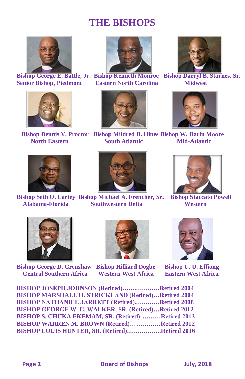# **THE BISHOPS**



**Senior Bishop, Piedmont Eastern North Carolina Midwest**









**Bishop George E. Battle, Jr. Bishop Kenneth Monroe Bishop Darryl B. Starnes, Sr.**



 **Bishop Dennis V. Proctor Bishop Mildred B. Hines Bishop W. Darin Moore North Eastern South Atlantic Mid-Atlantic** 





**Bishop Seth O. Lartey Bishop Michael A. Frencher, Sr. Bishop Staccato Powell Alabama-Florida Southwestern Delta Western**





**Bishop George D. Crenshaw Bishop Hilliard Dogbe Bishop U. U. Effiong Central Southern Africa Western West Africa Eastern West Africa**





| BISHOP JOSEPH JOHNSON (Retired)Retired 2004                |  |
|------------------------------------------------------------|--|
| <b>BISHOP MARSHALL H. STRICKLAND (Retired)Retired 2004</b> |  |
| <b>BISHOP NATHANIEL JARRETT (Retired)Retired 2008</b>      |  |
| BISHOP GEORGE W. C. WALKER, SR. (Retired)Retired 2012      |  |
| BISHOP S. CHUKA EKEMAM, SR. (Retired) Retired 2012         |  |
| BISHOP WARREN M. BROWN (Retired)Retired 2012               |  |
| BISHOP LOUIS HUNTER, SR. (Retired)Retired 2016             |  |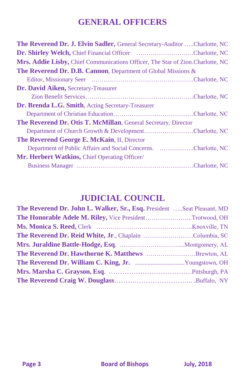# **GENERAL OFFICERS**

| The Reverend Dr. J. Elvin Sadler, General Secretary-Auditor Charlotte, NC      |
|--------------------------------------------------------------------------------|
| Dr. Shirley Welch, Chief Financial Officer Charlotte, NC                       |
| Mrs. Addie Lisby, Chief Communications Officer, The Star of Zion.Charlotte, NC |
| The Reverend Dr. D.B. Cannon, Department of Global Missions &                  |
|                                                                                |
| Dr. David Aiken, Secretary-Treasurer                                           |
|                                                                                |
| Dr. Brenda L.G. Smith, Acting Secretary-Treasurer                              |
|                                                                                |
| The Reverend Dr. Otis T. McMillan, General Secretary, Director                 |
| Department of Church Growth & DevelopmentCharlotte, NC                         |
| The Reverend George E. McKain, II, Director                                    |
| Department of Public Affairs and Social Concerns. Charlotte, NC                |
| Mr. Herbert Watkins, Chief Operating Officer/                                  |
|                                                                                |
|                                                                                |

# **JUDICIAL COUNCIL**

| The Reverend Dr. John L. Walker, Sr., Esq. President  Seat Pleasant, MD |  |
|-------------------------------------------------------------------------|--|
| The Honorable Adele M. Riley, Vice PresidentTrotwood, OH                |  |
|                                                                         |  |
| The Reverend Dr. Reid White, Jr., Chaplain Columbia, SC                 |  |
|                                                                         |  |
| The Reverend Dr. Hawthorne K. Matthews Brewton, AL                      |  |
|                                                                         |  |
|                                                                         |  |
|                                                                         |  |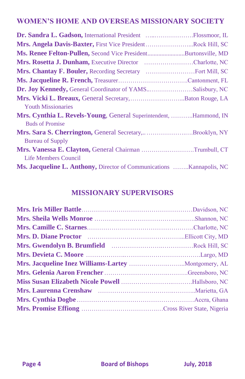## **WOMEN'S HOME AND OVERSEAS MISSIONARY SOCIETY**

| Dr. Sandra L. Gadson, International President Flossmoor, IL                 |  |
|-----------------------------------------------------------------------------|--|
| Mrs. Angela Davis-Baxter, First Vice PresidentRock Hill, SC                 |  |
| Ms. Renee Felton-Pullen, Second Vice PresidentBurtonsville, MD              |  |
| Mrs. Rosetta J. Dunham, Executive Director Charlotte, NC                    |  |
|                                                                             |  |
|                                                                             |  |
| Dr. Joy Kennedy, General Coordinator of YAMSSalisbury, NC                   |  |
| Mrs. Vicki L. Breaux, General Secretary,  Baton Rouge, LA                   |  |
| <b>Youth Missionaries</b>                                                   |  |
| Mrs. Cynthia L. Revels-Young, General Superintendent, Hammond, IN           |  |
| <b>Buds of Promise</b>                                                      |  |
| Mrs. Sara S. Cherrington, General Secretary,Brooklyn, NY                    |  |
| <b>Bureau of Supply</b>                                                     |  |
| Mrs. Vanessa E. Clayton, General Chairman Trumbull, CT                      |  |
| Life Members Council                                                        |  |
| <b>Ms. Jacqueline L. Anthony, Director of Communications Kannapolis, NC</b> |  |

### **MISSIONARY SUPERVISORS**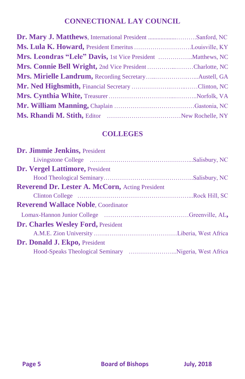# **CONNECTIONAL LAY COUNCIL**

| Dr. Mary J. Matthews, International President Sanford, NC    |  |
|--------------------------------------------------------------|--|
| Ms. Lula K. Howard, President Emeritus Louisville, KY        |  |
| Mrs. Leondras "Lele" Davis, 1st Vice President  Matthews, NC |  |
| Mrs. Connie Bell Wright, 2nd Vice President Charlotte, NC    |  |
|                                                              |  |
|                                                              |  |
|                                                              |  |
|                                                              |  |
|                                                              |  |

## **COLLEGES**

| Dr. Jimmie Jenkins, President                   |  |
|-------------------------------------------------|--|
|                                                 |  |
| <b>Dr. Vergel Lattimore, President</b>          |  |
|                                                 |  |
| Reverend Dr. Lester A. McCorn, Acting President |  |
|                                                 |  |
| <b>Reverend Wallace Noble, Coordinator</b>      |  |
|                                                 |  |
| <b>Dr. Charles Wesley Ford, President</b>       |  |
|                                                 |  |
| Dr. Donald J. Ekpo, President                   |  |
|                                                 |  |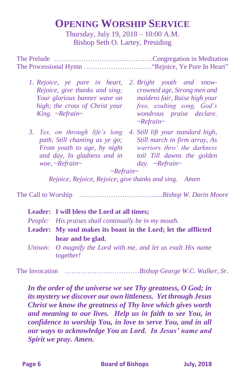# **OPENING WORSHIP SERVICE**

Thursday, July 19, 2018 – 10:00 A.M. Bishop Seth O. Lartey, Presiding

The Prelude ……………………………………..Congregation in Meditation The Processional Hymn …………………………"Rejoice, Ye Pure In Heart"

- *1. Rejoice, ye pure in heart, 2. Bright youth and snow-Rejoice, give thanks and sing; Your glorious banner wave on maidens fair, Raise high your high; the cross of Christ your King. ~Refrain~*
- *3. Yes, on through life's long 4. Still lift your standard high, path, Still chanting as ye go; From youth to age, by night and day, In gladness and in woe, ~Refrain~*
- *crowned age, Strong men and free, exulting song, God's wondrous praise declare. ~Refrain~*
- *Still march in firm array, As warriors thro' the darkness toil Till dawns the golden day. ~Refrain~*

*~Refrain~*

*Rejoice, Rejoice, Rejoice, give thanks and sing. Amen*

The Call to Worship …………………………….....*Bishop W. Darin Moore*

| Leader: I will bless the Lord at all times;                                       |
|-----------------------------------------------------------------------------------|
| People: His praises shall continually be in my mouth.                             |
| Leader: My soul makes its boast in the Lord; let the afflicted                    |
| hear and be glad.                                                                 |
| Unison: O magnify the Lord with me, and let us exalt His name<br><i>together!</i> |

The Invocation ……………………………*Bishop George W.C. Walker, Sr.*

*In the order of the universe we see Thy greatness, O God; in its mystery we discover our own littleness. Yet through Jesus Christ we know the greatness of Thy love which gives worth and meaning to our lives. Help us in faith to see You, in confidence to worship You, in love to serve You, and in all our ways to acknowledge You as Lord. In Jesus' name and Spirit we pray. Amen.*

**Page 6 Board of Bishops July, 2018**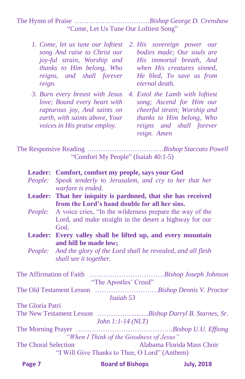The Hymn of Praise ……………………………*Bishop George D. Crenshaw* "Come, Let Us Tune Our Loftiest Song"

- *song And raise to Christ our joy-ful strain, Worship and reigns, and shall forever reign.*
- *love; Bound every heart with rapturous joy, And saints on earth, with saints above, Your voices in His praise employ.*
- *1. Come, let us tune our loftiest 2. His sovereign power our thanks to Him belong, Who when His creatures sinned, bodies made; Our souls are His immortal breath, And He bled, To save us from eternal death.*
- *3. Burn every breast with Jesus 4. Extol the Lamb with loftiest song; Ascend for Him our cheerful strain; Worship and thanks to Him belong, Who reigns and shall forever reign. Amen*

The Responsive Reading …………………………….*Bishop Staccato Powell* "Comfort My People" (Isaiah 40:1-5)

|                             | Leader: Comfort, comfort my people, says your God                                        |                            |                   |
|-----------------------------|------------------------------------------------------------------------------------------|----------------------------|-------------------|
|                             | People: Speak tenderly to Jerusalem, and cry to her that her<br>warfare is ended.        |                            |                   |
|                             | Leader: That her iniquity is pardoned, that she has received                             |                            |                   |
|                             | from the Lord's hand double for all her sins.                                            |                            |                   |
|                             | <i>People:</i> A voice cries, "In the wilderness prepare the way of the                  |                            |                   |
|                             | Lord, and make straight in the desert a highway for our<br>God.                          |                            |                   |
|                             | Leader: Every valley shall be lifted up, and every mountain                              |                            |                   |
|                             | and hill be made low;                                                                    |                            |                   |
|                             | People: And the glory of the Lord shall be revealed, and all flesh                       |                            |                   |
|                             | shall see it together.                                                                   |                            |                   |
|                             |                                                                                          |                            |                   |
|                             | "The Apostles' Creed"                                                                    |                            |                   |
|                             |                                                                                          |                            |                   |
|                             | Isaiah 53                                                                                |                            |                   |
| The Gloria Patri            |                                                                                          |                            |                   |
|                             | The New Testament Lesson Bishop Darryl B. Starnes, Sr.<br>John $1:1-14(NLT)$             |                            |                   |
|                             |                                                                                          |                            |                   |
| <b>The Choral Selection</b> | "When I Think of the Goodness of Jesus"<br>"I Will Give Thanks to Thee, O Lord" (Anthem) | Alabama Florida Mass Choir |                   |
| Page 7                      | <b>Board of Bishops</b>                                                                  |                            | <b>July, 2018</b> |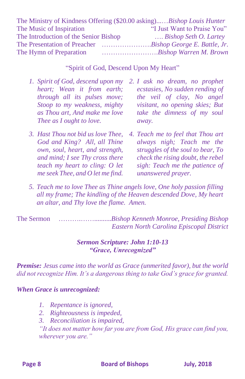| The Ministry of Kindness Offering (\$20.00 asking)Bishop Louis Hunter |                                |
|-----------------------------------------------------------------------|--------------------------------|
| The Music of Inspiration                                              | "I Just Want to Praise You"    |
| The Introduction of the Senior Bishop                                 | $\ldots$ Bishop Seth O. Lartey |
|                                                                       |                                |
| The Hymn of Preparation                                               | Bishop Warren M. Brown         |

#### "Spirit of God, Descend Upon My Heart"

- *1. Spirit of God, descend upon my 2. I ask no dream, no prophet heart; Wean it from earth; through all its pulses move; Stoop to my weakness, mighty as Thou art, And make me love Thee as I ought to love.*
- *3. Hast Thou not bid us love Thee, God and King? All, all Thine own, soul, heart, and strength, and mind; I see Thy cross there teach my heart to cling: O let me seek Thee, and O let me find.*
- *ecstasies, No sudden rending of the veil of clay, No angel visitant, no opening skies; But take the dimness of my soul away.*
- *4. Teach me to feel that Thou art always nigh; Teach me the struggles of the soul to bear, To check the rising doubt, the rebel sigh: Teach me the patience of unanswered prayer.*
- *5. Teach me to love Thee as Thine angels love, One holy passion filling all my frame; The kindling of the Heaven descended Dove, My heart an altar, and Thy love the flame. Amen.*

The Sermon ……….……..........*Bishop Kenneth Monroe, Presiding Bishop Eastern North Carolina Episcopal District*

#### *Sermon Scripture: John 1:10-13 "Grace, Unrecognized"*

*Premise: Jesus came into the world as Grace (unmerited favor), but the world did not recognize Him. It's a dangerous thing to take God's grace for granted.*

#### *When Grace is unrecognized:*

- *1. Repentance is ignored,*
- *2. Righteousness is impeded,*
- *3. Reconciliation is impaired,*

*"It does not matter how far you are from God, His grace can find you, wherever you are."*

**Page 8 Board of Bishops Board 10 Board 10 Board 10 Board 10 Board 10 Board 10 Board 10 Board 10 Board 10 Board 10 Board 10 Board 10 Board 10 Board 10 Board 10 Board 10 Board 10 Board 10 Board 10 Board 10 Board 10 Boar**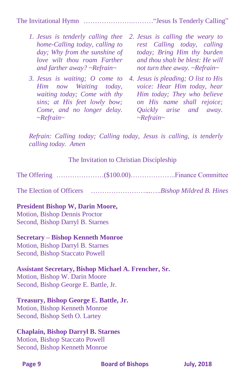The Invitational Hymn ………………….………"Jesus Is Tenderly Calling"

- *1. Jesus is tenderly calling thee 2. Jesus is calling the weary to home-Calling today, calling to day; Why from the sunshine of love wilt thou roam Farther and farther away? ~Refrain~*
- *Him now Waiting today, waiting today; Come with thy sins; at His feet lowly bow; Come, and no longer delay. ~Refrain~*
- *rest Calling today, calling today; Bring Him thy burden and thou shalt be blest: He will not turn thee away. ~Refrain~*
- *3. Jesus is waiting; O come to 4. Jesus is pleading; O list to His voice: Hear Him today, hear Him today; They who believe on His name shall rejoice; Quickly arise and away. ~Refrain~*

*Refrain: Calling today; Calling today, Jesus is calling, is tenderly calling today. Amen*

#### The Invitation to Christian Discipleship

The Offering …………………(\$100.00)………………..Finance Committee

The Election of Officers ……………………...…..*Bishop Mildred B. Hines*

#### **President Bishop W, Darin Moore,**

Motion, Bishop Dennis Proctor Second, Bishop Darryl B. Starnes

#### **Secretary – Bishop Kenneth Monroe**

Motion, Bishop Darryl B. Starnes Second, Bishop Staccato Powell

#### **Assistant Secretary, Bishop Michael A. Frencher, Sr.**

Motion, Bishop W. Darin Moore Second, Bishop George E. Battle, Jr.

#### **Treasury, Bishop George E. Battle, Jr.**

Motion, Bishop Kenneth Monroe Second, Bishop Seth O. Lartey

#### **Chaplain, Bishop Darryl B. Starnes**

Motion, Bishop Staccato Powell Second, Bishop Kenneth Monroe

**Page 9 Board of Bishops July, 2018**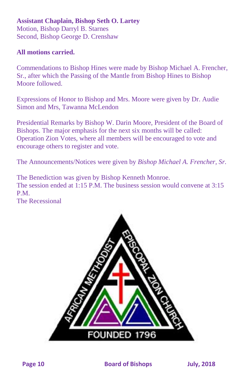#### **Assistant Chaplain, Bishop Seth O. Lartey** Motion, Bishop Darryl B. Starnes Second, Bishop George D. Crenshaw

#### **All motions carried.**

Commendations to Bishop Hines were made by Bishop Michael A. Frencher, Sr., after which the Passing of the Mantle from Bishop Hines to Bishop Moore followed.

Expressions of Honor to Bishop and Mrs. Moore were given by Dr. Audie Simon and Mrs, Tawanna McLendon

Presidential Remarks by Bishop W. Darin Moore, President of the Board of Bishops. The major emphasis for the next six months will be called: Operation Zion Votes, where all members will be encouraged to vote and encourage others to register and vote.

The Announcements/Notices were given by *Bishop Michael A. Frencher, Sr.*

The Benediction was given by Bishop Kenneth Monroe. The session ended at 1:15 P.M. The business session would convene at 3:15 P.M.

The Recessional

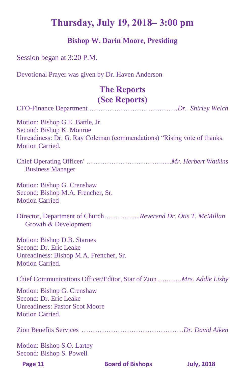# **Thursday, July 19, 2018– 3:00 pm**

## **Bishop W. Darin Moore, Presiding**

### Session began at 3:20 P.M.

Devotional Prayer was given by Dr. Haven Anderson

# **The Reports (See Reports)**

| $\sqrt{2}$                                                                                                                                                       |
|------------------------------------------------------------------------------------------------------------------------------------------------------------------|
| Motion: Bishop G.E. Battle, Jr.<br>Second: Bishop K. Monroe<br>Unreadiness: Dr. G. Ray Coleman (commendations) "Rising vote of thanks.<br><b>Motion Carried.</b> |
| <b>Business Manager</b>                                                                                                                                          |
| Motion: Bishop G. Crenshaw<br>Second: Bishop M.A. Frencher, Sr.<br><b>Motion Carried</b>                                                                         |
| Director, Department of ChurchReverend Dr. Otis T. McMillan<br>Growth & Development                                                                              |
| Motion: Bishop D.B. Starnes<br>Second: Dr. Eric Leake<br>Unreadiness: Bishop M.A. Frencher, Sr.<br><b>Motion Carried.</b>                                        |
| Chief Communications Officer/Editor, Star of Zion Mrs. Addie Lisby                                                                                               |
| Motion: Bishop G. Crenshaw<br>Second: Dr. Eric Leake<br><b>Unreadiness: Pastor Scot Moore</b><br><b>Motion Carried.</b>                                          |
|                                                                                                                                                                  |
| Motion: Bishop S.O. Lartey<br>Second: Bishop S. Powell                                                                                                           |

**Page 11** Board of Bishops July, 2018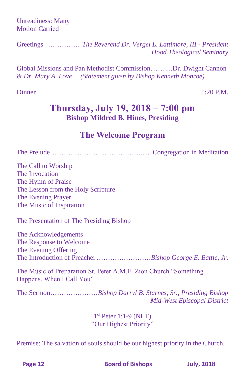Unreadiness: Many Motion Carried

Greetings ……………*The Reverend Dr. Vergel L. Lattimore, III - President Hood Theological Seminary*

Global Missions and Pan Methodist Commission……....Dr. Dwight Cannon & *Dr. Mary A. Love (Statement given by Bishop Kenneth Monroe)*

Dinner 5:20 P.M.

# **Thursday, July 19, 2018 – 7:00 pm Bishop Mildred B. Hines, Presiding**

# **The Welcome Program**

The Prelude ………………………………….......Congregation in Meditation

The Call to Worship The Invocation The Hymn of Praise The Lesson from the Holy Scripture The Evening Prayer The Music of Inspiration

The Presentation of The Presiding Bishop

The Acknowledgements The Response to Welcome The Evening Offering The Introduction of Preacher……………………*Bishop George E. Battle, Jr.*

The Music of Preparation St. Peter A.M.E. Zion Church "Something Happens, When I Call You"

The Sermon…………………*Bishop Darryl B. Starnes, Sr., Presiding Bishop Mid-West Episcopal District*

> 1 st Peter 1:1-9 (NLT) "Our Highest Priority"

Premise: The salvation of souls should be our highest priority in the Church,

**Page 12 Board of Bishops July, 2018**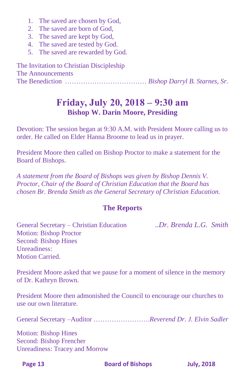- 1. The saved are chosen by God,
- 2. The saved are born of God,
- 3. The saved are kept by God,
- 4. The saved are tested by God.
- 5. The saved are rewarded by God.

The Invitation to Christian Discipleship The Announcements The Benediction ……………………………… *Bishop Darryl B. Starnes, Sr.*

# **Friday, July 20, 2018 – 9:30 am Bishop W. Darin Moore, Presiding**

Devotion: The session began at 9:30 A.M. with President Moore calling us to order. He called on Elder Hanna Broome to lead us in prayer.

President Moore then called on Bishop Proctor to make a statement for the Board of Bishops.

*A statement from the Board of Bishops was given by Bishop Dennis V. Proctor, Chair of the Board of Christian Education that the Board has chosen Br. Brenda Smith as the General Secretary of Christian Education.*

#### **The Reports**

General Secretary – Christian Education ..*Dr. Brenda L.G. Smith*  Motion: Bishop Proctor Second: Bishop Hines Unreadiness: Motion Carried.

President Moore asked that we pause for a moment of silence in the memory of Dr. Kathryn Brown.

President Moore then admonished the Council to encourage our churches to use our own literature.

General Secretary –Auditor …………………….*Reverend Dr. J. Elvin Sadler*

Motion: Bishop Hines Second: Bishop Frencher Unreadiness: Tracey and Morrow

**Page 13 Board of Bishops July, 2018**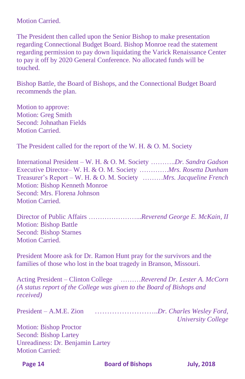Motion Carried.

The President then called upon the Senior Bishop to make presentation regarding Connectional Budget Board. Bishop Monroe read the statement regarding permission to pay down liquidating the Varick Renaissance Center to pay it off by 2020 General Conference. No allocated funds will be touched.

Bishop Battle, the Board of Bishops, and the Connectional Budget Board recommends the plan.

Motion to approve: Motion: Greg Smith Second: Johnathan Fields Motion Carried.

The President called for the report of the W. H. & O. M. Society

International President – W. H. & O. M. Society ………..*Dr. Sandra Gadson* Executive Director– W. H. & O. M. Society ………….*Mrs. Rosetta Dunham* Treasurer's Report – W. H. & O. M. Society ………*Mrs. Jacqueline French* Motion: Bishop Kenneth Monroe Second: Mrs. Florena Johnson Motion Carried.

Director of Public Affairs …………………...*Reverend George E. McKain, II* Motion: Bishop Battle Second: Bishop Starnes Motion Carried

President Moore ask for Dr. Ramon Hunt pray for the survivors and the families of those who lost in the boat tragedy in Branson, Missouri.

Acting President – Clinton College ………*Reverend Dr. Lester A. McCorn (A status report of the College was given to the Board of Bishops and received)*

President – A.M.E. Zion ……………………..*Dr. Charles Wesley Ford,*

Motion: Bishop Proctor Second: Bishop Lartey Unreadiness: Dr. Benjamin Lartey Motion Carried:

**Page 14 Board of Bishops July, 2018** 

*University College*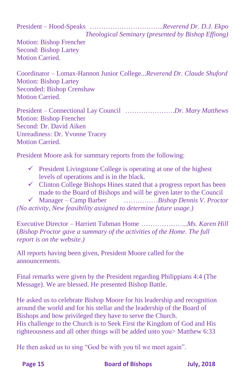President – Hood-Speaks …………………………...*Reverend Dr. D.J. Ekpo*

*Theological Seminary (presented by Bishop Effiong)*

Motion: Bishop Frencher Second: Bishop Lartey Motion Carried

Coordinator – Lomax-Hannon Junior College...*Reverend Dr. Claude Shuford* Motion: Bishop Lartey Seconded: Bishop Crenshaw Motion Carried.

President – Connectional Lay Council ………………….*Dr. Mary Matthews* Motion: Bishop Frencher Second: Dr. David Aiken Unreadiness: Dr. Yvonne Tracey Motion Carried.

President Moore ask for summary reports from the following:

- $\checkmark$  President Livingstone College is operating at one of the highest levels of operations and is in the black.
- $\checkmark$  Clinton College Bishops Hines stated that a progress report has been made to the Board of Bishops and will be given later to the Council
- ✓ Manager Camp Barber ……………*Bishop Dennis V. Proctor*

*(No activity, New feasibility assigned to determine future usage.)*

Executive Director – Harriett Tubman Home ………………...*Ms. Karen Hill* (*Bishop Proctor gave a summary of the activities of the Home. The full report is on the website.)*

All reports having been given, President Moore called for the announcements.

Final remarks were given by the President regarding Philippians 4:4 (The Message). We are blessed. He presented Bishop Battle.

He asked us to celebrate Bishop Moore for his leadership and recognition around the world and for his stellar and the leadership of the Board of Bishops and how privileged they have to serve the Church. His challenge to the Church is to Seek First the Kingdom of God and His righteousness and all other things will be added unto you> Matthew 6:33

He then asked us to sing "God be with you til we meet again".

**Page 15 Board of Bishops July, 2018**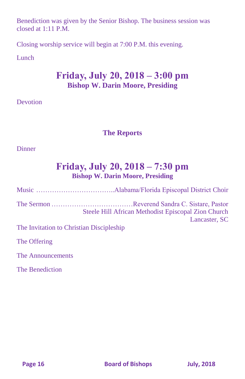Benediction was given by the Senior Bishop. The business session was closed at  $1:11$  P.M.

Closing worship service will begin at 7:00 P.M. this evening.

#### **Lunch**

# **Friday, July 20, 2018 – 3:00 pm Bishop W. Darin Moore, Presiding**

#### **Devotion**

## **The Reports**

#### **Dinner**

# **Friday, July 20, 2018 – 7:30 pm Bishop W. Darin Moore, Presiding**

Music ……………………………..Alabama/Florida Episcopal District Choir The Sermon ………………………………Reverend Sandra C. Sistare, Pastor Steele Hill African Methodist Episcopal Zion Church Lancaster, SC The Invitation to Christian Discipleship The Offering

The Announcements

The Benediction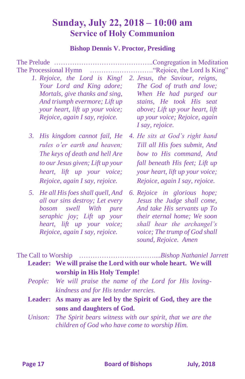# **Sunday, July 22, 2018 – 10:00 am Service of Holy Communion**

#### **Bishop Dennis V. Proctor, Presiding**

The Prelude ……………………………………..Congregation in Meditation The Processional Hymn ………………………."Rejoice, the Lord Is King"

- *1. Rejoice, the Lord is King! 2. Jesus, the Saviour, reigns, Your Lord and King adore; Mortals, give thanks and sing, And triumph evermore; Lift up your heart, lift up your voice; Rejoice, again I say, rejoice.*
- *rules o'er earth and heaven; The keys of death and hell Are to our Jesus given; Lift up your heart, lift up your voice; Rejoice, again I say, rejoice.*
- *5. He all His foes shall quell, And all our sins destroy; Let every bosom swell With pure seraphic joy; Lift up your heart, lift up your voice; Rejoice, again I say, rejoice.*
- *The God of truth and love; When He had purged our stains, He took His seat above; Lift up your heart, lift up your voice; Rejoice, again I say, rejoice.*
- *3. His kingdom cannot fail, He 4. He sits at God's right hand Till all His foes submit, And bow to His command, And fall beneath His feet; Lift up your heart, lift up your voice; Rejoice, again I say, rejoice.* 
	- *6. Rejoice in glorious hope; Jesus the Judge shall come, And take His servants up To their eternal home; We soon shall hear the archangel's voice; The trump of God shall sound, Rejoice. Amen*

The Call to Worship ……………………………....*Bishop Nathaniel Jarrett* **Leader: We will praise the Lord with our whole heart. We will** 

| worship in His Holy Temple!                                 |  |  |  |  |
|-------------------------------------------------------------|--|--|--|--|
| People: We will praise the name of the Lord for His loving- |  |  |  |  |
| kindness and for His tender mercies.                        |  |  |  |  |

- **Leader: As many as are led by the Spirit of God, they are the sons and daughters of God.**
- *Unison: The Spirit bears witness with our spirit, that we are the children of God who have come to worship Him.*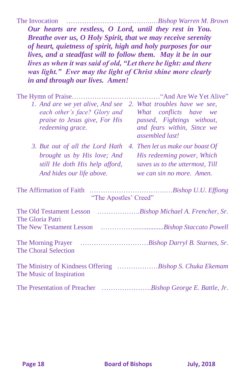The Invocation ………………………………..…*Bishop Warren M. Brown*

*Our hearts are restless, O Lord, until they rest in You. Breathe over us, O Holy Spirit, that we may receive serenity of heart, quietness of spirit, high and holy purposes for our lives, and a steadfast will to follow them. May it be in our lives as when it was said of old, "Let there be light: and there was light." Ever may the light of Christ shine more clearly in and through our lives. Amen!*

| 1. And are we yet alive, And see 2. What troubles have we see,<br>each other's face? Glory and<br><i>praise to Jesus give, For His</i><br>redeeming grace. | What conflicts have we<br>passed, Fightings without,<br>and fears within, Since we<br>assembled last!                          |
|------------------------------------------------------------------------------------------------------------------------------------------------------------|--------------------------------------------------------------------------------------------------------------------------------|
| 3. But out of all the Lord Hath<br>brought us by His love; And<br>still He doth His help afford,<br>And hides our life above.                              | 4. Then let us make our boast Of<br>His redeeming power, Which<br>saves us to the uttermost, Till<br>we can sin no more. Amen. |
| The Affirmation of Faith<br>"The Apostles' Creed"                                                                                                          |                                                                                                                                |
| The Old Testament Lesson Bishop Michael A. Frencher, Sr.<br>The Gloria Patri                                                                               |                                                                                                                                |
|                                                                                                                                                            |                                                                                                                                |
| <b>The Choral Selection</b>                                                                                                                                |                                                                                                                                |
| The Ministry of Kindness Offering Bishop S. Chuka Ekemam<br>The Music of Inspiration                                                                       |                                                                                                                                |
| The Presentation of Preacher Bishop George E. Battle, Jr.                                                                                                  |                                                                                                                                |

**Page 18** Board of Bishops July, 2018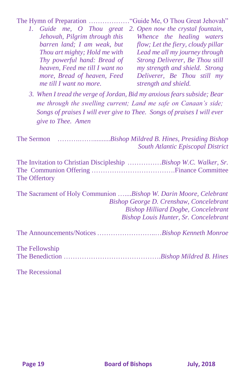The Hymn of Preparation ………………"Guide Me, O Thou Great Jehovah"

- *1. Guide me, O Thou great 2. Open now the crystal fountain, Jehovah, Pilgrim through this barren land; I am weak, but Thou art mighty; Hold me with Thy powerful hand: Bread of heaven, Feed me till I want no more, Bread of heaven, Feed me till I want no more. Whence the healing waters flow; Let the fiery, cloudy pillar Lead me all my journey through Strong Deliverer, Be Thou still my strength and shield. Strong Deliverer, Be Thou still my strength and shield.* 
	- *3. When I tread the verge of Jordan, Bid my anxious fears subside; Bear me through the swelling current; Land me safe on Canaan's side; Songs of praises I will ever give to Thee. Songs of praises I will ever give to Thee. Amen*

The Sermon ……….……..........*Bishop Mildred B. Hines, Presiding Bishop South Atlantic Episcopal District*

| The Invitation to Christian Discipleship Bishop W.C. Walker, Sr. |  |  |  |
|------------------------------------------------------------------|--|--|--|
|                                                                  |  |  |  |
| The Offertory                                                    |  |  |  |

The Sacrament of Holy Communion …....*Bishop W. Darin Moore, Celebrant Bishop George D. Crenshaw, Concelebrant Bishop Hilliard Dogbe, Concelebrant Bishop Louis Hunter, Sr. Concelebrant*

The Announcements/Notices ……………………..…*Bishop Kenneth Monroe*

The Fellowship The Benediction …………………………………….*Bishop Mildred B. Hines*

The Recessional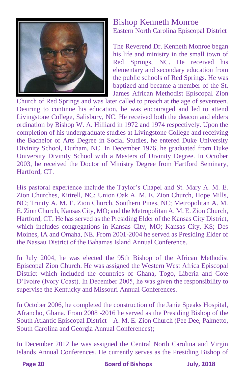

## Bishop Kenneth Monroe Eastern North Carolina Episcopal District

The Reverend Dr. Kenneth Monroe began his life and ministry in the small town of Red Springs, NC. He received his elementary and secondary education from the public schools of Red Springs. He was baptized and became a member of the St. James African Methodist Episcopal Zion

Church of Red Springs and was later called to preach at the age of seventeen. Desiring to continue his education, he was encouraged and led to attend Livingstone College, Salisbury, NC. He received both the deacon and elders ordination by Bishop W. A. Hilliard in 1972 and 1974 respectively. Upon the completion of his undergraduate studies at Livingstone College and receiving the Bachelor of Arts Degree in Social Studies, he entered Duke University Divinity School, Durham, NC. In December 1976, he graduated from Duke University Divinity School with a Masters of Divinity Degree. In October 2003, he received the Doctor of Ministry Degree from Hartford Seminary, Hartford, CT.

His pastoral experience include the Taylor's Chapel and St. Mary A. M. E. Zion Churches, Kittrell, NC; Union Oak A. M. E. Zion Church, Hope Mills, NC; Trinity A. M. E. Zion Church, Southern Pines, NC; Metropolitan A. M. E. Zion Church, Kansas City, MO; and the Metropolitan A. M. E. Zion Church, Hartford, CT. He has served as the Presiding Elder of the Kansas City District, which includes congregations in Kansas City, MO; Kansas City, KS; Des Moines, IA and Omaha, NE. From 2001-2004 he served as Presiding Elder of the Nassau District of the Bahamas Island Annual Conference.

In July 2004, he was elected the 95th Bishop of the African Methodist Episcopal Zion Church. He was assigned the Western West Africa Episcopal District which included the countries of Ghana, Togo, Liberia and Cote D'Ivoire (Ivory Coast). In December 2005, he was given the responsibility to supervise the Kentucky and Missouri Annual Conferences.

In October 2006, he completed the construction of the Janie Speaks Hospital, Afrancho, Ghana. From 2008 -2016 he served as the Presiding Bishop of the South Atlantic Episcopal District – A. M. E. Zion Church (Pee Dee, Palmetto, South Carolina and Georgia Annual Conferences);

In December 2012 he was assigned the Central North Carolina and Virgin Islands Annual Conferences. He currently serves as the Presiding Bishop of

**Page 20** Board of Bishops July, 2018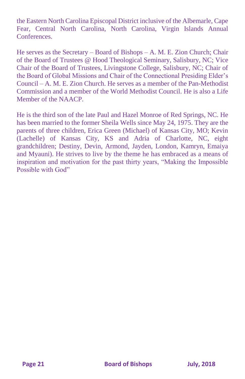the Eastern North Carolina Episcopal District inclusive of the Albemarle, Cape Fear, Central North Carolina, North Carolina, Virgin Islands Annual **Conferences** 

He serves as the Secretary – Board of Bishops – A. M. E. Zion Church; Chair of the Board of Trustees @ Hood Theological Seminary, Salisbury, NC; Vice Chair of the Board of Trustees, Livingstone College, Salisbury, NC; Chair of the Board of Global Missions and Chair of the Connectional Presiding Elder's Council – A. M. E. Zion Church. He serves as a member of the Pan-Methodist Commission and a member of the World Methodist Council. He is also a Life Member of the NAACP.

He is the third son of the late Paul and Hazel Monroe of Red Springs, NC. He has been married to the former Sheila Wells since May 24, 1975. They are the parents of three children, Erica Green (Michael) of Kansas City, MO; Kevin (Lachelle) of Kansas City, KS and Adria of Charlotte, NC, eight grandchildren; Destiny, Devin, Armond, Jayden, London, Kamryn, Emaiya and Myauni). He strives to live by the theme he has embraced as a means of inspiration and motivation for the past thirty years, "Making the Impossible Possible with God"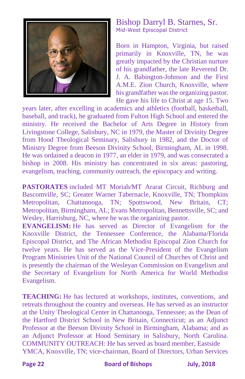

#### Bishop Darryl B. Starnes, Sr. Mid-West Episcopal District

Born in Hampton, Virginia, but raised primarily in Knoxville, TN, he was greatly impacted by the Christian nurture of his grandfather, the late Reverend Dr. J. A. Babington-Johnson and the First A.M.E. Zion Church, Knoxville, where his grandfather was the organizing pastor. He gave his life to Christ at age 15. Two

years later, after excelling in academics and athletics (football, basketball, baseball, and track), he graduated from Fulton High School and entered the ministry. He received the Bachelor of Arts Degree in History from Livingstone College, Salisbury, NC in 1979, the Master of Divinity Degree from Hood Theological Seminary, Salisbury in 1982, and the Doctor of Ministry Degree from Beeson Divinity School, Birmingham, AL in 1998. He was ordained a deacon in 1977, an elder in 1979, and was consecrated a bishop in 2008. His ministry has concentrated in six areas: pastoring, evangelism, teaching, community outreach, the episcopacy and writing.

**PASTORATES** included MT Moriah/MT Ararat Circuit, Richburg and Bascomville, SC; Greater Warner Tabernacle, Knoxville, TN; Thompkins Metropolitan, Chattanooga, TN; Spottswood, New Britain, CT; Metropolitan, Birmingham, AL; Evans Metropolitan, Bennettsville, SC; and Wesley, Harrisburg, NC, where he was the organizing pastor.

**EVANGELISM:** He has served as Director of Evangelism for the Knoxville District, the Tennessee Conference, the Alabama/Florida Episcopal District, and The African Methodist Episcopal Zion Church for twelve years. He has served as the Vice-President of the Evangelism Program Ministries Unit of the National Council of Churches of Christ and is presently the chairman of the Wesleyan Commission on Evangelism and the Secretary of Evangelism for North America for World Methodist Evangelism.

**TEACHING:** He has lectured at workshops, institutes, conventions, and retreats throughout the country and overseas. He has served as an instructor at the Unity Theological Center in Chattanooga, Tennessee; as the Dean of the Hartford District School in New Britain, Connecticut; as an Adjunct Professor at the Beeson Divinity School in Birmingham, Alabama; and as an Adjunct Professor at Hood Seminary in Salisbury, North Carolina. COMMUNITY OUTREACH: He has served as board member, Eastside YMCA, Knoxville, TN; vice-chairman, Board of Directors, Urban Services

**Page 22 Board of Bishops July, 2018**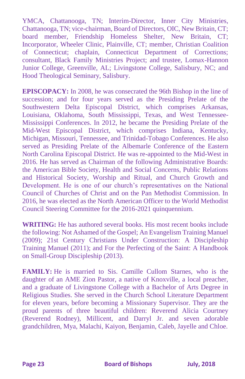YMCA, Chattanooga, TN; Interim-Director, Inner City Ministries, Chattanooga, TN; vice-chairman, Board of Directors, OIC, New Britain, CT; board member, Friendship Homeless Shelter, New Britain, CT; Incorporator, Wheeler Clinic, Plainville, CT; member, Christian Coalition of Connecticut; chaplain, Connecticut Department of Corrections; consultant, Black Family Ministries Project; and trustee, Lomax-Hannon Junior College, Greenville, AL; Livingstone College, Salisbury, NC; and Hood Theological Seminary, Salisbury.

**EPISCOPACY:** In 2008, he was consecrated the 96th Bishop in the line of succession; and for four years served as the Presiding Prelate of the Southwestern Delta Episcopal District, which comprises Arkansas, Louisiana, Oklahoma, South Mississippi, Texas, and West Tennessee-Mississippi Conferences. In 2012, he became the Presiding Prelate of the Mid-West Episcopal District, which comprises Indiana, Kentucky, Michigan, Missouri, Tennessee, and Trinidad-Tobago Conferences. He also served as Presiding Prelate of the Albemarle Conference of the Eastern North Carolina Episcopal District. He was re-appointed to the Mid-West in 2016. He has served as Chairman of the following Administrative Boards: the American Bible Society, Health and Social Concerns, Public Relations and Historical Society, Worship and Ritual, and Church Growth and Development. He is one of our church's representatives on the National Council of Churches of Christ and on the Pan Methodist Commission. In 2016, he was elected as the North American Officer to the World Methodist Council Steering Committee for the 2016-2021 quinquennium.

**WRITING:** He has authored several books. His most recent books include the following: Not Ashamed of the Gospel; An Evangelism Training Manuel (2009); 21st Century Christians Under Construction: A Discipleship Training Manuel (2011); and For the Perfecting of the Saint: A Handbook on Small-Group Discipleship (2013).

**FAMILY:** He is married to Sis. Camille Cullom Starnes, who is the daughter of an AME Zion Pastor, a native of Knoxville, a local preacher, and a graduate of Livingstone College with a Bachelor of Arts Degree in Religious Studies. She served in the Church School Literature Department for eleven years, before becoming a Missionary Supervisor. They are the proud parents of three beautiful children: Reverend Alicia Courtney (Reverend Rodney), Millicent, and Darryl Jr. and seven adorable grandchildren, Mya, Malachi, Kaiyon, Benjamin, Caleb, Jayelle and Chloe.

**Page 23 Board of Bishops July, 2018**